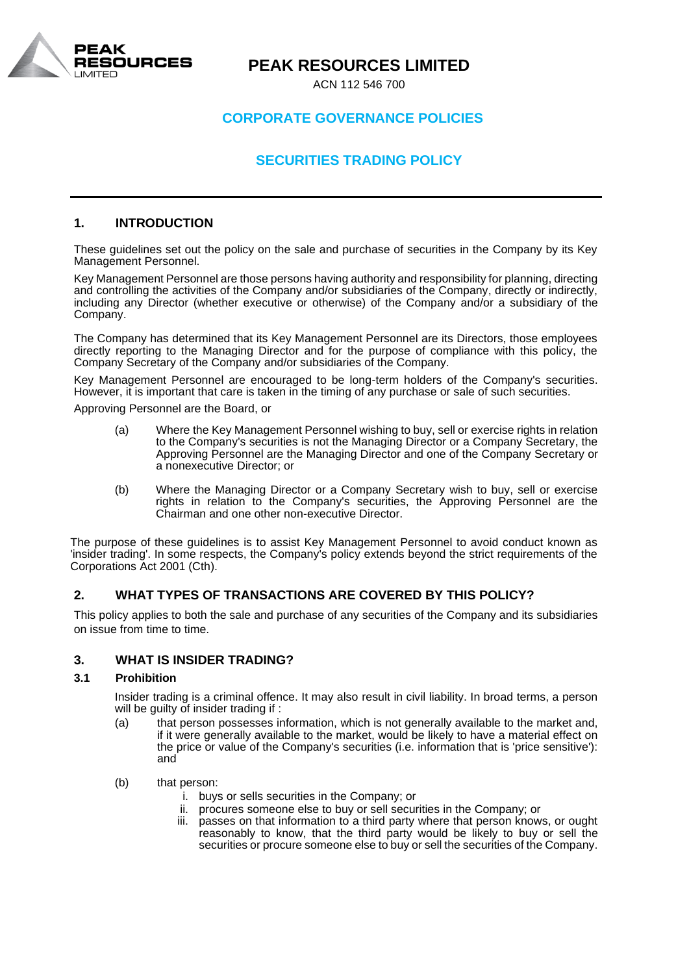

# **CORPORATE GOVERNANCE POLICIES**

# **SECURITIES TRADING POLICY**

## **1. INTRODUCTION**

These guidelines set out the policy on the sale and purchase of securities in the Company by its Key Management Personnel.

Key Management Personnel are those persons having authority and responsibility for planning, directing and controlling the activities of the Company and/or subsidiaries of the Company, directly or indirectly, including any Director (whether executive or otherwise) of the Company and/or a subsidiary of the Company.

The Company has determined that its Key Management Personnel are its Directors, those employees directly reporting to the Managing Director and for the purpose of compliance with this policy, the Company Secretary of the Company and/or subsidiaries of the Company.

Key Management Personnel are encouraged to be long-term holders of the Company's securities. However, it is important that care is taken in the timing of any purchase or sale of such securities.

Approving Personnel are the Board, or

- (a) Where the Key Management Personnel wishing to buy, sell or exercise rights in relation to the Company's securities is not the Managing Director or a Company Secretary, the Approving Personnel are the Managing Director and one of the Company Secretary or a nonexecutive Director; or
- (b) Where the Managing Director or a Company Secretary wish to buy, sell or exercise rights in relation to the Company's securities, the Approving Personnel are the Chairman and one other non-executive Director.

The purpose of these guidelines is to assist Key Management Personnel to avoid conduct known as 'insider trading'. In some respects, the Company's policy extends beyond the strict requirements of the Corporations Act 2001 (Cth).

## **2. WHAT TYPES OF TRANSACTIONS ARE COVERED BY THIS POLICY?**

This policy applies to both the sale and purchase of any securities of the Company and its subsidiaries on issue from time to time.

## **3. WHAT IS INSIDER TRADING?**

#### **3.1 Prohibition**

Insider trading is a criminal offence. It may also result in civil liability. In broad terms, a person will be guilty of insider trading if :

- (a) that person possesses information, which is not generally available to the market and, if it were generally available to the market, would be likely to have a material effect on the price or value of the Company's securities (i.e. information that is 'price sensitive'): and
- (b) that person:
	- i. buys or sells securities in the Company; or
	- ii. procures someone else to buy or sell securities in the Company; or
	- passes on that information to a third party where that person knows, or ought reasonably to know, that the third party would be likely to buy or sell the securities or procure someone else to buy or sell the securities of the Company.

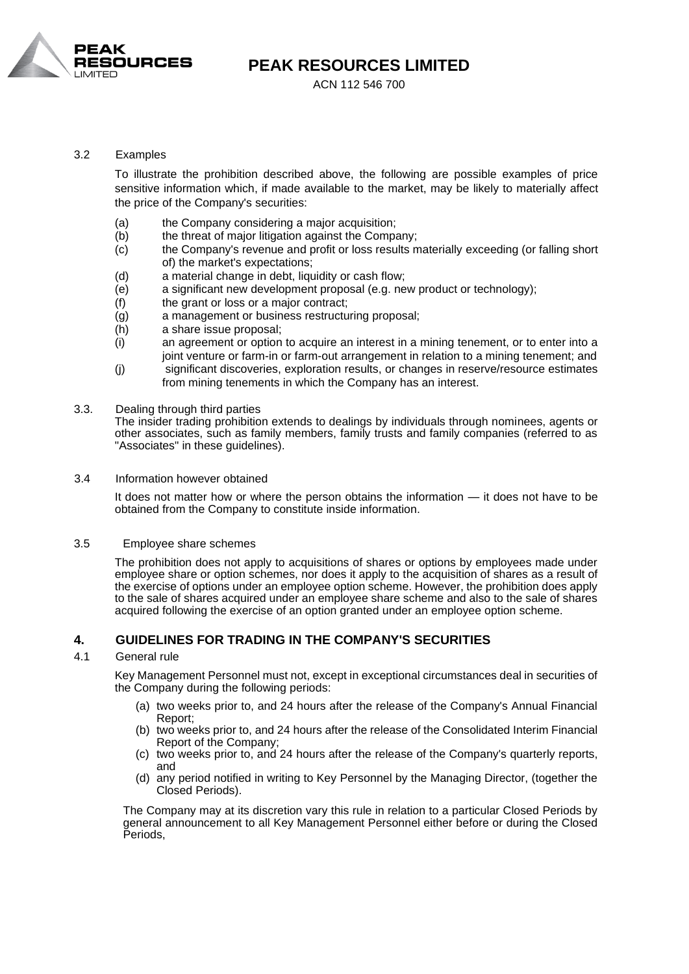

ACN 112 546 700

#### 3.2 Examples

To illustrate the prohibition described above, the following are possible examples of price sensitive information which, if made available to the market, may be likely to materially affect the price of the Company's securities:

- (a) the Company considering a major acquisition:
- (b) the threat of major litigation against the Company;
- (c) the Company's revenue and profit or loss results materially exceeding (or falling short of) the market's expectations;
- (d) a material change in debt, liquidity or cash flow;
- (e) a significant new development proposal (e.g. new product or technology);
- (f) the grant or loss or a major contract;
- (g) a management or business restructuring proposal;
- (h) a share issue proposal;
- (i) an agreement or option to acquire an interest in a mining tenement, or to enter into a joint venture or farm-in or farm-out arrangement in relation to a mining tenement; and
- (j) significant discoveries, exploration results, or changes in reserve/resource estimates from mining tenements in which the Company has an interest.
- 3.3. Dealing through third parties

The insider trading prohibition extends to dealings by individuals through nominees, agents or other associates, such as family members, family trusts and family companies (referred to as "Associates" in these guidelines).

3.4 Information however obtained

It does not matter how or where the person obtains the information — it does not have to be obtained from the Company to constitute inside information.

#### 3.5 Employee share schemes

The prohibition does not apply to acquisitions of shares or options by employees made under employee share or option schemes, nor does it apply to the acquisition of shares as a result of the exercise of options under an employee option scheme. However, the prohibition does apply to the sale of shares acquired under an employee share scheme and also to the sale of shares acquired following the exercise of an option granted under an employee option scheme.

## **4. GUIDELINES FOR TRADING IN THE COMPANY'S SECURITIES**

#### 4.1 General rule

Key Management Personnel must not, except in exceptional circumstances deal in securities of the Company during the following periods:

- (a) two weeks prior to, and 24 hours after the release of the Company's Annual Financial Report;
- (b) two weeks prior to, and 24 hours after the release of the Consolidated Interim Financial Report of the Company;
- (c) two weeks prior to, and 24 hours after the release of the Company's quarterly reports, and
- (d) any period notified in writing to Key Personnel by the Managing Director, (together the Closed Periods).

The Company may at its discretion vary this rule in relation to a particular Closed Periods by general announcement to all Key Management Personnel either before or during the Closed Periods,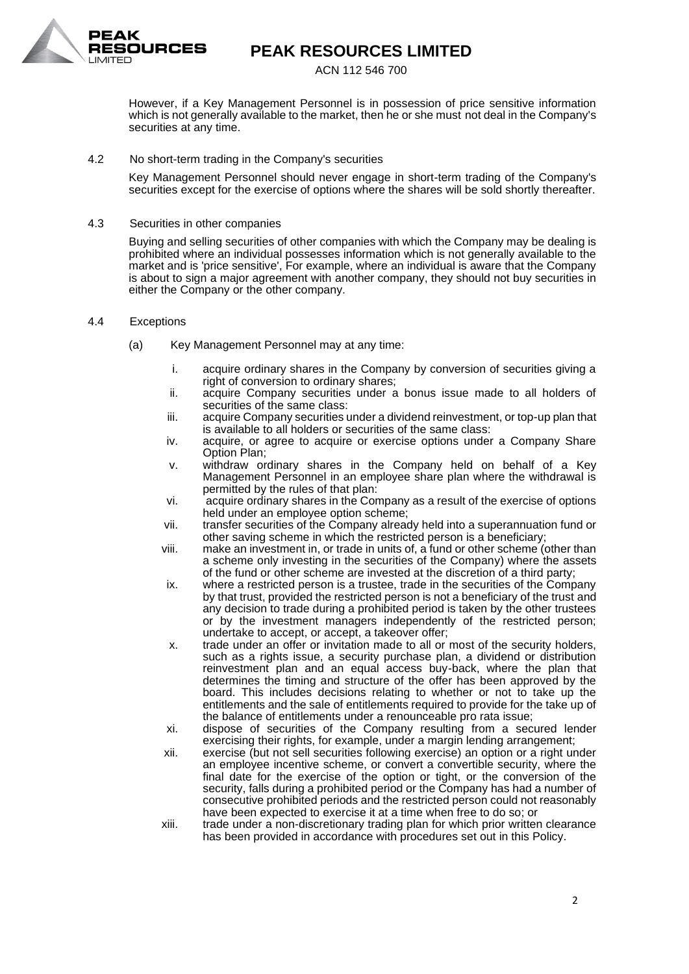

#### ACN 112 546 700

However, if a Key Management Personnel is in possession of price sensitive information which is not generally available to the market, then he or she must not deal in the Company's securities at any time.

#### 4.2 No short-term trading in the Company's securities

Key Management Personnel should never engage in short-term trading of the Company's securities except for the exercise of options where the shares will be sold shortly thereafter.

#### 4.3 Securities in other companies

Buying and selling securities of other companies with which the Company may be dealing is prohibited where an individual possesses information which is not generally available to the market and is 'price sensitive', For example, where an individual is aware that the Company is about to sign a major agreement with another company, they should not buy securities in either the Company or the other company.

#### 4.4 Exceptions

- (a) Key Management Personnel may at any time:
	- i. acquire ordinary shares in the Company by conversion of securities giving a right of conversion to ordinary shares;
	- ii. acquire Company securities under a bonus issue made to all holders of securities of the same class:
	- iii. acquire Company securities under a dividend reinvestment, or top-up plan that is available to all holders or securities of the same class:
	- iv. acquire, or agree to acquire or exercise options under a Company Share Option Plan;
	- v. withdraw ordinary shares in the Company held on behalf of a Key Management Personnel in an employee share plan where the withdrawal is permitted by the rules of that plan:
	- vi. acquire ordinary shares in the Company as a result of the exercise of options held under an employee option scheme;
	- vii. transfer securities of the Company already held into a superannuation fund or other saving scheme in which the restricted person is a beneficiary;
	- viii. make an investment in, or trade in units of, a fund or other scheme (other than a scheme only investing in the securities of the Company) where the assets of the fund or other scheme are invested at the discretion of a third party;
	- ix. where a restricted person is a trustee, trade in the securities of the Company by that trust, provided the restricted person is not a beneficiary of the trust and any decision to trade during a prohibited period is taken by the other trustees or by the investment managers independently of the restricted person; undertake to accept, or accept, a takeover offer;
	- x. trade under an offer or invitation made to all or most of the security holders, such as a rights issue, a security purchase plan, a dividend or distribution reinvestment plan and an equal access buy-back, where the plan that determines the timing and structure of the offer has been approved by the board. This includes decisions relating to whether or not to take up the entitlements and the sale of entitlements required to provide for the take up of the balance of entitlements under a renounceable pro rata issue;
	- xi. dispose of securities of the Company resulting from a secured lender exercising their rights, for example, under a margin lending arrangement;
	- xii. exercise (but not sell securities following exercise) an option or a right under an employee incentive scheme, or convert a convertible security, where the final date for the exercise of the option or tight, or the conversion of the security, falls during a prohibited period or the Company has had a number of consecutive prohibited periods and the restricted person could not reasonably have been expected to exercise it at a time when free to do so; or
	- xiii. trade under a non-discretionary trading plan for which prior written clearance has been provided in accordance with procedures set out in this Policy.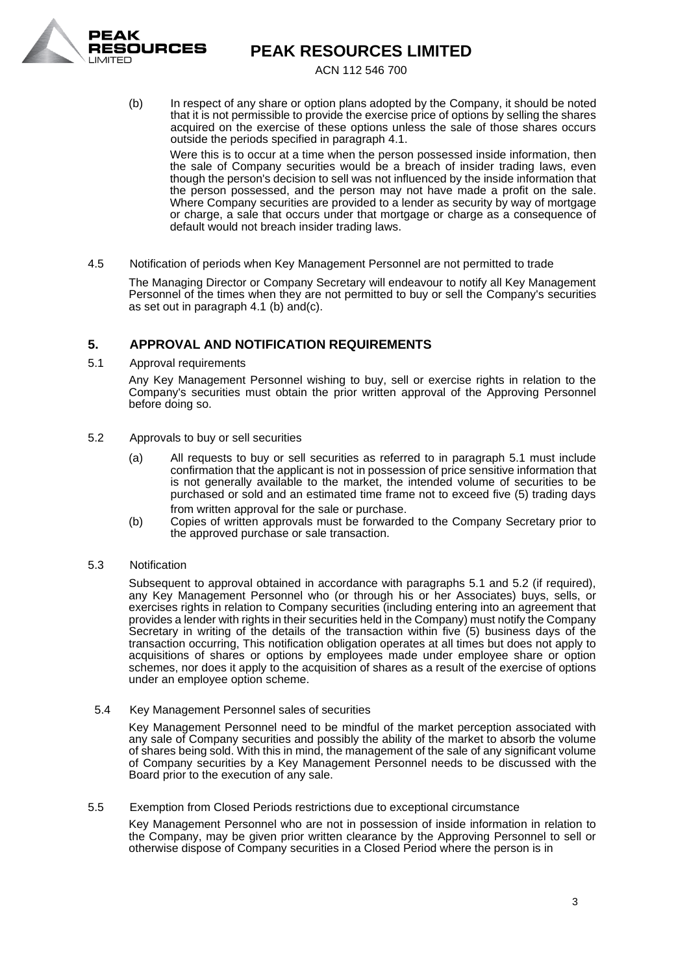

ACN 112 546 700

(b) In respect of any share or option plans adopted by the Company, it should be noted that it is not permissible to provide the exercise price of options by selling the shares acquired on the exercise of these options unless the sale of those shares occurs outside the periods specified in paragraph 4.1.

Were this is to occur at a time when the person possessed inside information, then the sale of Company securities would be a breach of insider trading laws, even though the person's decision to sell was not influenced by the inside information that the person possessed, and the person may not have made a profit on the sale. Where Company securities are provided to a lender as security by way of mortgage or charge, a sale that occurs under that mortgage or charge as a consequence of default would not breach insider trading laws.

4.5 Notification of periods when Key Management Personnel are not permitted to trade

The Managing Director or Company Secretary will endeavour to notify all Key Management Personnel of the times when they are not permitted to buy or sell the Company's securities as set out in paragraph 4.1 (b) and(c).

# **5. APPROVAL AND NOTIFICATION REQUIREMENTS**

5.1 Approval requirements

Any Key Management Personnel wishing to buy, sell or exercise rights in relation to the Company's securities must obtain the prior written approval of the Approving Personnel before doing so.

- 5.2 Approvals to buy or sell securities
	- (a) All requests to buy or sell securities as referred to in paragraph 5.1 must include confirmation that the applicant is not in possession of price sensitive information that is not generally available to the market, the intended volume of securities to be purchased or sold and an estimated time frame not to exceed five (5) trading days from written approval for the sale or purchase.
	- (b) Copies of written approvals must be forwarded to the Company Secretary prior to the approved purchase or sale transaction.

## 5.3 Notification

Subsequent to approval obtained in accordance with paragraphs 5.1 and 5.2 (if required), any Key Management Personnel who (or through his or her Associates) buys, sells, or exercises rights in relation to Company securities (including entering into an agreement that provides a lender with rights in their securities held in the Company) must notify the Company Secretary in writing of the details of the transaction within five (5) business days of the transaction occurring, This notification obligation operates at all times but does not apply to acquisitions of shares or options by employees made under employee share or option schemes, nor does it apply to the acquisition of shares as a result of the exercise of options under an employee option scheme.

5.4 Key Management Personnel sales of securities

Key Management Personnel need to be mindful of the market perception associated with any sale of Company securities and possibly the ability of the market to absorb the volume of shares being sold. With this in mind, the management of the sale of any significant volume of Company securities by a Key Management Personnel needs to be discussed with the Board prior to the execution of any sale.

5.5 Exemption from Closed Periods restrictions due to exceptional circumstance

Key Management Personnel who are not in possession of inside information in relation to the Company, may be given prior written clearance by the Approving Personnel to sell or otherwise dispose of Company securities in a Closed Period where the person is in